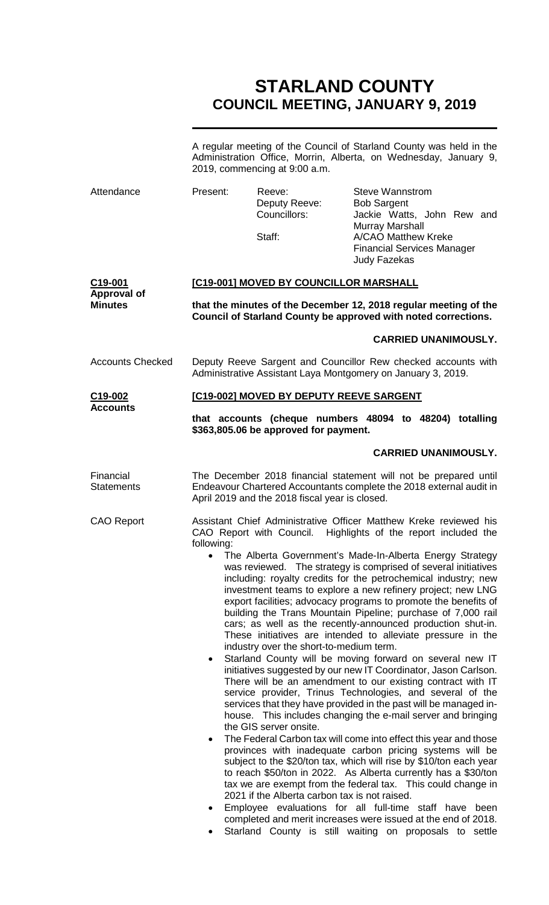# **STARLAND COUNTY COUNCIL MEETING, JANUARY 9, 2019**

|                                         | A regular meeting of the Council of Starland County was held in the<br>Administration Office, Morrin, Alberta, on Wednesday, January 9,<br>2019, commencing at 9:00 a.m. |                                                                                                                    |                                                                                                                                                                                                                                                                                                                                                                                                                                                                                                                                                                                                                                                                                                                                                                                                                                                                                                                                                                                                                                                                                                                                                                                                                                                                                                                                                                                                                                                                          |  |  |  |
|-----------------------------------------|--------------------------------------------------------------------------------------------------------------------------------------------------------------------------|--------------------------------------------------------------------------------------------------------------------|--------------------------------------------------------------------------------------------------------------------------------------------------------------------------------------------------------------------------------------------------------------------------------------------------------------------------------------------------------------------------------------------------------------------------------------------------------------------------------------------------------------------------------------------------------------------------------------------------------------------------------------------------------------------------------------------------------------------------------------------------------------------------------------------------------------------------------------------------------------------------------------------------------------------------------------------------------------------------------------------------------------------------------------------------------------------------------------------------------------------------------------------------------------------------------------------------------------------------------------------------------------------------------------------------------------------------------------------------------------------------------------------------------------------------------------------------------------------------|--|--|--|
| Attendance                              | Present:                                                                                                                                                                 | Reeve:<br>Deputy Reeve:<br>Councillors:<br>Staff:                                                                  | <b>Steve Wannstrom</b><br><b>Bob Sargent</b><br>Jackie Watts, John Rew and<br><b>Murray Marshall</b><br>A/CAO Matthew Kreke<br><b>Financial Services Manager</b><br><b>Judy Fazekas</b>                                                                                                                                                                                                                                                                                                                                                                                                                                                                                                                                                                                                                                                                                                                                                                                                                                                                                                                                                                                                                                                                                                                                                                                                                                                                                  |  |  |  |
| C19-001                                 | [C19-001] MOVED BY COUNCILLOR MARSHALL                                                                                                                                   |                                                                                                                    |                                                                                                                                                                                                                                                                                                                                                                                                                                                                                                                                                                                                                                                                                                                                                                                                                                                                                                                                                                                                                                                                                                                                                                                                                                                                                                                                                                                                                                                                          |  |  |  |
| <b>Approval of</b><br><b>Minutes</b>    | that the minutes of the December 12, 2018 regular meeting of the<br>Council of Starland County be approved with noted corrections.                                       |                                                                                                                    |                                                                                                                                                                                                                                                                                                                                                                                                                                                                                                                                                                                                                                                                                                                                                                                                                                                                                                                                                                                                                                                                                                                                                                                                                                                                                                                                                                                                                                                                          |  |  |  |
|                                         |                                                                                                                                                                          |                                                                                                                    | <b>CARRIED UNANIMOUSLY.</b>                                                                                                                                                                                                                                                                                                                                                                                                                                                                                                                                                                                                                                                                                                                                                                                                                                                                                                                                                                                                                                                                                                                                                                                                                                                                                                                                                                                                                                              |  |  |  |
| <b>Accounts Checked</b>                 | Deputy Reeve Sargent and Councillor Rew checked accounts with<br>Administrative Assistant Laya Montgomery on January 3, 2019.                                            |                                                                                                                    |                                                                                                                                                                                                                                                                                                                                                                                                                                                                                                                                                                                                                                                                                                                                                                                                                                                                                                                                                                                                                                                                                                                                                                                                                                                                                                                                                                                                                                                                          |  |  |  |
| C <sub>19</sub> -002<br><b>Accounts</b> |                                                                                                                                                                          | [C19-002] MOVED BY DEPUTY REEVE SARGENT                                                                            |                                                                                                                                                                                                                                                                                                                                                                                                                                                                                                                                                                                                                                                                                                                                                                                                                                                                                                                                                                                                                                                                                                                                                                                                                                                                                                                                                                                                                                                                          |  |  |  |
|                                         | that accounts (cheque numbers 48094 to 48204) totalling<br>\$363,805.06 be approved for payment.                                                                         |                                                                                                                    |                                                                                                                                                                                                                                                                                                                                                                                                                                                                                                                                                                                                                                                                                                                                                                                                                                                                                                                                                                                                                                                                                                                                                                                                                                                                                                                                                                                                                                                                          |  |  |  |
|                                         |                                                                                                                                                                          |                                                                                                                    | <b>CARRIED UNANIMOUSLY.</b>                                                                                                                                                                                                                                                                                                                                                                                                                                                                                                                                                                                                                                                                                                                                                                                                                                                                                                                                                                                                                                                                                                                                                                                                                                                                                                                                                                                                                                              |  |  |  |
| Financial<br><b>Statements</b>          |                                                                                                                                                                          | April 2019 and the 2018 fiscal year is closed.                                                                     | The December 2018 financial statement will not be prepared until<br>Endeavour Chartered Accountants complete the 2018 external audit in                                                                                                                                                                                                                                                                                                                                                                                                                                                                                                                                                                                                                                                                                                                                                                                                                                                                                                                                                                                                                                                                                                                                                                                                                                                                                                                                  |  |  |  |
| <b>CAO Report</b>                       | following:<br>$\bullet$<br>٠<br>٠                                                                                                                                        | industry over the short-to-medium term.<br>the GIS server onsite.<br>2021 if the Alberta carbon tax is not raised. | Assistant Chief Administrative Officer Matthew Kreke reviewed his<br>CAO Report with Council. Highlights of the report included the<br>The Alberta Government's Made-In-Alberta Energy Strategy<br>was reviewed. The strategy is comprised of several initiatives<br>including: royalty credits for the petrochemical industry; new<br>investment teams to explore a new refinery project; new LNG<br>export facilities; advocacy programs to promote the benefits of<br>building the Trans Mountain Pipeline; purchase of 7,000 rail<br>cars; as well as the recently-announced production shut-in.<br>These initiatives are intended to alleviate pressure in the<br>Starland County will be moving forward on several new IT<br>initiatives suggested by our new IT Coordinator, Jason Carlson.<br>There will be an amendment to our existing contract with IT<br>service provider, Trinus Technologies, and several of the<br>services that they have provided in the past will be managed in-<br>house. This includes changing the e-mail server and bringing<br>The Federal Carbon tax will come into effect this year and those<br>provinces with inadequate carbon pricing systems will be<br>subject to the \$20/ton tax, which will rise by \$10/ton each year<br>to reach \$50/ton in 2022. As Alberta currently has a \$30/ton<br>tax we are exempt from the federal tax.  This could change in<br>Employee evaluations for all full-time staff have<br>been |  |  |  |

completed and merit increases were issued at the end of 2018.

• Starland County is still waiting on proposals to settle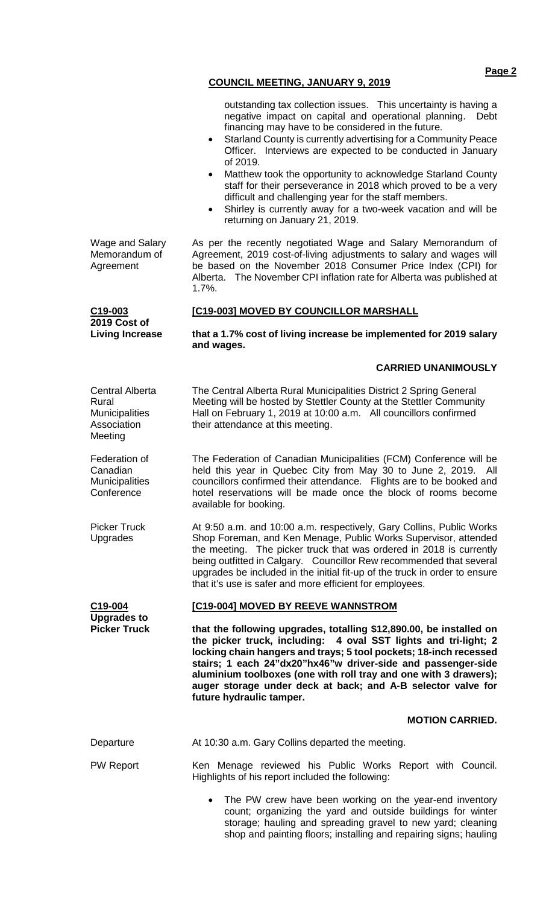- Starland County is currently advertising for a Community Peace Officer. Interviews are expected to be conducted in January of 2019.
- Matthew took the opportunity to acknowledge Starland County staff for their perseverance in 2018 which proved to be a very difficult and challenging year for the staff members.
- Shirley is currently away for a two-week vacation and will be returning on January 21, 2019.

As per the recently negotiated Wage and Salary Memorandum of Agreement, 2019 cost-of-living adjustments to salary and wages will be based on the November 2018 Consumer Price Index (CPI) for Alberta. The November CPI inflation rate for Alberta was published at 1.7%.

## **[C19-003] MOVED BY COUNCILLOR MARSHALL**

**that a 1.7% cost of living increase be implemented for 2019 salary and wages.**

#### **CARRIED UNANIMOUSLY**

Central Alberta Rural **Municipalities** Association Meeting The Central Alberta Rural Municipalities District 2 Spring General Meeting will be hosted by Stettler County at the Stettler Community Hall on February 1, 2019 at 10:00 a.m. All councillors confirmed their attendance at this meeting.

> The Federation of Canadian Municipalities (FCM) Conference will be held this year in Quebec City from May 30 to June 2, 2019. All councillors confirmed their attendance. Flights are to be booked and hotel reservations will be made once the block of rooms become available for booking.

At 9:50 a.m. and 10:00 a.m. respectively, Gary Collins, Public Works Shop Foreman, and Ken Menage, Public Works Supervisor, attended the meeting. The picker truck that was ordered in 2018 is currently being outfitted in Calgary. Councillor Rew recommended that several upgrades be included in the initial fit-up of the truck in order to ensure that it's use is safer and more efficient for employees.

## **[C19-004] MOVED BY REEVE WANNSTROM**

**that the following upgrades, totalling \$12,890.00, be installed on the picker truck, including: 4 oval SST lights and tri-light; 2 locking chain hangers and trays; 5 tool pockets; 18-inch recessed stairs; 1 each 24"dx20"hx46"w driver-side and passenger-side aluminium toolboxes (one with roll tray and one with 3 drawers); auger storage under deck at back; and A-B selector valve for future hydraulic tamper.**

#### **MOTION CARRIED.**

| Departure        | At 10:30 a.m. Gary Collins departed the meeting.                                                              |  |  |  |  |  |  |  |
|------------------|---------------------------------------------------------------------------------------------------------------|--|--|--|--|--|--|--|
| <b>PW Report</b> | Ken Menage reviewed his Public Works Report with Council.<br>Highlights of his report included the following: |  |  |  |  |  |  |  |

The PW crew have been working on the year-end inventory count; organizing the yard and outside buildings for winter storage; hauling and spreading gravel to new yard; cleaning shop and painting floors; installing and repairing signs; hauling

Wage and Salary Memorandum of Agreement

> **C19-003 2019 Cost of Living Increase**

Federation of Canadian **Municipalities Conference** 

Picker Truck Upgrades

**C19-004 Upgrades to Picker Truck** **Page 2**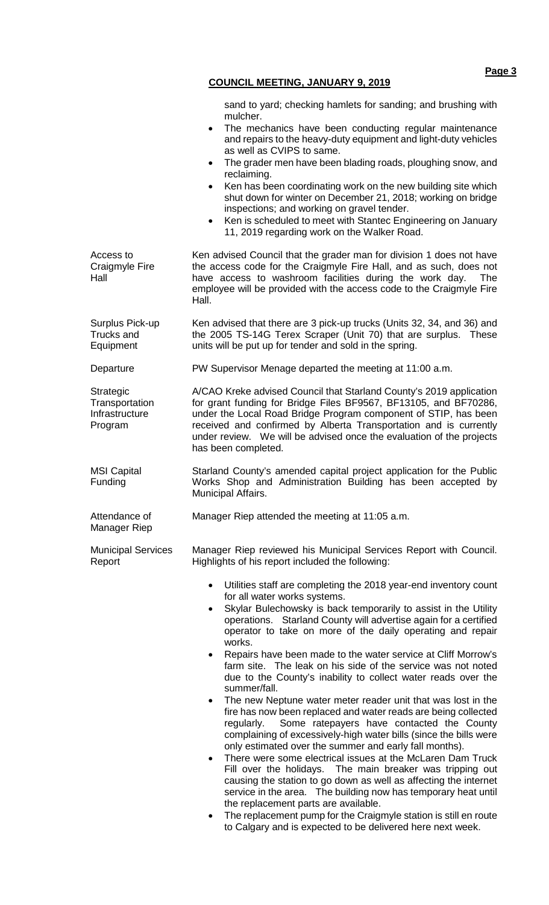sand to yard; checking hamlets for sanding; and brushing with mulcher.

- The mechanics have been conducting regular maintenance and repairs to the heavy-duty equipment and light-duty vehicles as well as CVIPS to same.
- The grader men have been blading roads, ploughing snow, and reclaiming.
- Ken has been coordinating work on the new building site which shut down for winter on December 21, 2018; working on bridge inspections; and working on gravel tender.
- Ken is scheduled to meet with Stantec Engineering on January 11, 2019 regarding work on the Walker Road.

Access to Craigmyle Fire Hall Ken advised Council that the grader man for division 1 does not have the access code for the Craigmyle Fire Hall, and as such, does not have access to washroom facilities during the work day. The employee will be provided with the access code to the Craigmyle Fire Hall.

Trucks and Equipment

**Strategic Transportation** Infrastructure Program

MSI Capital Funding

Attendance of Manager Riep

Surplus Pick-up Ken advised that there are 3 pick-up trucks (Units 32, 34, and 36) and the 2005 TS-14G Terex Scraper (Unit 70) that are surplus. These units will be put up for tender and sold in the spring.

Departure PW Supervisor Menage departed the meeting at 11:00 a.m.

A/CAO Kreke advised Council that Starland County's 2019 application for grant funding for Bridge Files BF9567, BF13105, and BF70286, under the Local Road Bridge Program component of STIP, has been received and confirmed by Alberta Transportation and is currently under review. We will be advised once the evaluation of the projects has been completed.

Starland County's amended capital project application for the Public Works Shop and Administration Building has been accepted by Municipal Affairs.

Manager Riep attended the meeting at 11:05 a.m.

Municipal Services Report Manager Riep reviewed his Municipal Services Report with Council. Highlights of his report included the following:

- Utilities staff are completing the 2018 year-end inventory count for all water works systems.
- Skylar Bulechowsky is back temporarily to assist in the Utility operations. Starland County will advertise again for a certified operator to take on more of the daily operating and repair works.
- Repairs have been made to the water service at Cliff Morrow's farm site. The leak on his side of the service was not noted due to the County's inability to collect water reads over the summer/fall.
- The new Neptune water meter reader unit that was lost in the fire has now been replaced and water reads are being collected regularly. Some ratepayers have contacted the County complaining of excessively-high water bills (since the bills were only estimated over the summer and early fall months).
- There were some electrical issues at the McLaren Dam Truck Fill over the holidays. The main breaker was tripping out causing the station to go down as well as affecting the internet service in the area. The building now has temporary heat until the replacement parts are available.
- The replacement pump for the Craigmyle station is still en route to Calgary and is expected to be delivered here next week.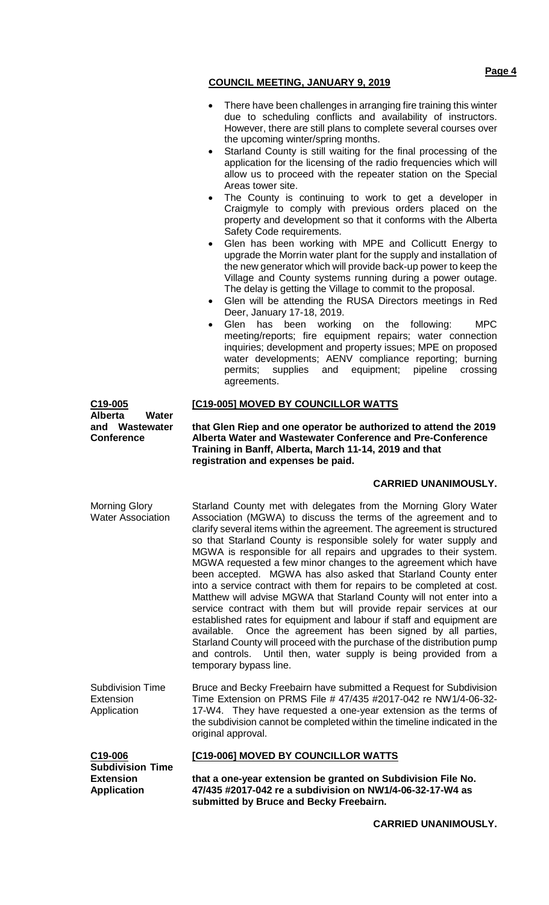- There have been challenges in arranging fire training this winter due to scheduling conflicts and availability of instructors. However, there are still plans to complete several courses over the upcoming winter/spring months.
- Starland County is still waiting for the final processing of the application for the licensing of the radio frequencies which will allow us to proceed with the repeater station on the Special Areas tower site.
- The County is continuing to work to get a developer in Craigmyle to comply with previous orders placed on the property and development so that it conforms with the Alberta Safety Code requirements.
- Glen has been working with MPE and Collicutt Energy to upgrade the Morrin water plant for the supply and installation of the new generator which will provide back-up power to keep the Village and County systems running during a power outage. The delay is getting the Village to commit to the proposal.
- Glen will be attending the RUSA Directors meetings in Red Deer, January 17-18, 2019.
- Glen has been working on the following: MPC meeting/reports; fire equipment repairs; water connection inquiries; development and property issues; MPE on proposed water developments; AENV compliance reporting; burning permits; supplies and equipment; pipeline crossing agreements.

**[C19-005] MOVED BY COUNCILLOR WATTS**

**that Glen Riep and one operator be authorized to attend the 2019 Alberta Water and Wastewater Conference and Pre-Conference Training in Banff, Alberta, March 11-14, 2019 and that registration and expenses be paid.**

## **CARRIED UNANIMOUSLY.**

Morning Glory Water Association Starland County met with delegates from the Morning Glory Water Association (MGWA) to discuss the terms of the agreement and to clarify several items within the agreement. The agreement is structured so that Starland County is responsible solely for water supply and MGWA is responsible for all repairs and upgrades to their system. MGWA requested a few minor changes to the agreement which have been accepted. MGWA has also asked that Starland County enter into a service contract with them for repairs to be completed at cost. Matthew will advise MGWA that Starland County will not enter into a service contract with them but will provide repair services at our established rates for equipment and labour if staff and equipment are available. Once the agreement has been signed by all parties, Starland County will proceed with the purchase of the distribution pump and controls. Until then, water supply is being provided from a temporary bypass line.

Subdivision Time **Extension** Application Bruce and Becky Freebairn have submitted a Request for Subdivision Time Extension on PRMS File # 47/435 #2017-042 re NW1/4-06-32- 17-W4. They have requested a one-year extension as the terms of the subdivision cannot be completed within the timeline indicated in the original approval.

| C19-006                 |
|-------------------------|
| <b>Subdivision Time</b> |
| <b>Extension</b>        |
| <b>Application</b>      |

**C19-005**

**Conference**

**Alberta Water and Wastewater** 

# **[C19-006] MOVED BY COUNCILLOR WATTS**

**that a one-year extension be granted on Subdivision File No. 47/435 #2017-042 re a subdivision on NW1/4-06-32-17-W4 as submitted by Bruce and Becky Freebairn.**

**CARRIED UNANIMOUSLY.**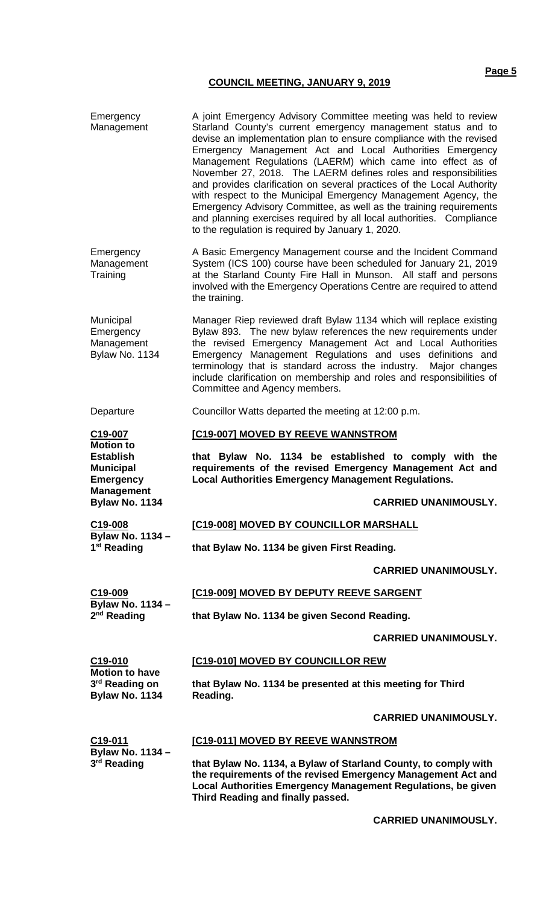Emergency

Management Emergency Management **Training** Starland County's current emergency management status and to devise an implementation plan to ensure compliance with the revised Emergency Management Act and Local Authorities Emergency Management Regulations (LAERM) which came into effect as of November 27, 2018. The LAERM defines roles and responsibilities and provides clarification on several practices of the Local Authority with respect to the Municipal Emergency Management Agency, the Emergency Advisory Committee, as well as the training requirements and planning exercises required by all local authorities. Compliance to the regulation is required by January 1, 2020. A Basic Emergency Management course and the Incident Command System (ICS 100) course have been scheduled for January 21, 2019 at the Starland County Fire Hall in Munson. All staff and persons involved with the Emergency Operations Centre are required to attend the training. Municipal **Emergency** Management Bylaw No. 1134 Manager Riep reviewed draft Bylaw 1134 which will replace existing Bylaw 893. The new bylaw references the new requirements under the revised Emergency Management Act and Local Authorities Emergency Management Regulations and uses definitions and terminology that is standard across the industry. Major changes include clarification on membership and roles and responsibilities of Committee and Agency members. Departure Councillor Watts departed the meeting at 12:00 p.m. **C19-007 Motion to Establish Municipal Emergency Management Bylaw No. 1134 C19-008 Bylaw No. 1134 – 1st Reading C19-009 Bylaw No. 1134 – 2nd Reading C19-010 Motion to have 3rd Reading on Bylaw No. 1134 C19-011 Bylaw No. 1134 – 3rd Reading [C19-007] MOVED BY REEVE WANNSTROM that Bylaw No. 1134 be established to comply with the requirements of the revised Emergency Management Act and Local Authorities Emergency Management Regulations. CARRIED UNANIMOUSLY. [C19-008] MOVED BY COUNCILLOR MARSHALL that Bylaw No. 1134 be given First Reading. CARRIED UNANIMOUSLY. [C19-009] MOVED BY DEPUTY REEVE SARGENT that Bylaw No. 1134 be given Second Reading. CARRIED UNANIMOUSLY. [C19-010] MOVED BY COUNCILLOR REW that Bylaw No. 1134 be presented at this meeting for Third Reading. CARRIED UNANIMOUSLY. [C19-011] MOVED BY REEVE WANNSTROM that Bylaw No. 1134, a Bylaw of Starland County, to comply with the requirements of the revised Emergency Management Act and Local Authorities Emergency Management Regulations, be given** 

**Third Reading and finally passed.**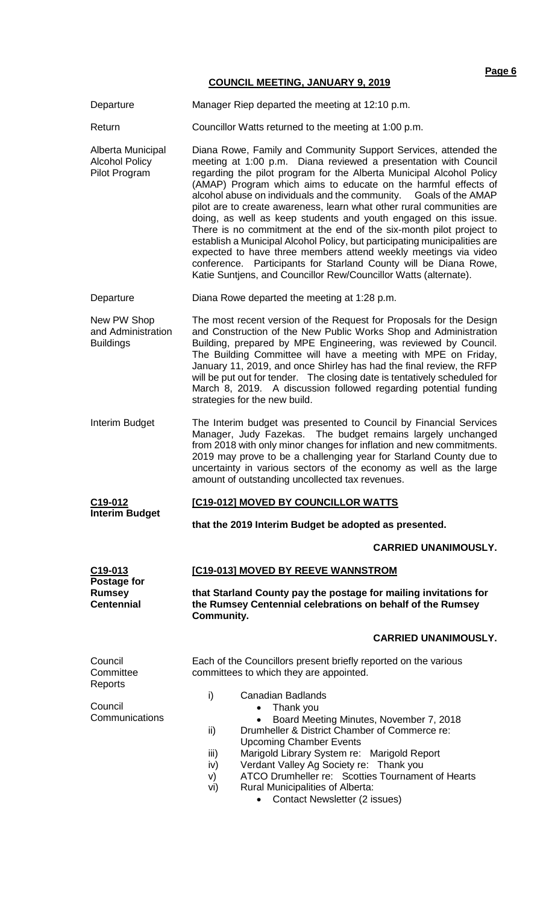**Page 6**

## **COUNCIL MEETING, JANUARY 9, 2019**

|                                                             | <u> 881812 MEETHVS, 8711871111 81 2018</u>                                                                                                                                                                                                                                                                                                                                                                                                                                                                                                                                                                                                                                                                                                                                                                                                                                                                                                        |  |  |  |  |
|-------------------------------------------------------------|---------------------------------------------------------------------------------------------------------------------------------------------------------------------------------------------------------------------------------------------------------------------------------------------------------------------------------------------------------------------------------------------------------------------------------------------------------------------------------------------------------------------------------------------------------------------------------------------------------------------------------------------------------------------------------------------------------------------------------------------------------------------------------------------------------------------------------------------------------------------------------------------------------------------------------------------------|--|--|--|--|
| Departure                                                   | Manager Riep departed the meeting at 12:10 p.m.                                                                                                                                                                                                                                                                                                                                                                                                                                                                                                                                                                                                                                                                                                                                                                                                                                                                                                   |  |  |  |  |
| Return                                                      | Councillor Watts returned to the meeting at 1:00 p.m.                                                                                                                                                                                                                                                                                                                                                                                                                                                                                                                                                                                                                                                                                                                                                                                                                                                                                             |  |  |  |  |
| Alberta Municipal<br><b>Alcohol Policy</b><br>Pilot Program | Diana Rowe, Family and Community Support Services, attended the<br>meeting at 1:00 p.m. Diana reviewed a presentation with Council<br>regarding the pilot program for the Alberta Municipal Alcohol Policy<br>(AMAP) Program which aims to educate on the harmful effects of<br>alcohol abuse on individuals and the community. Goals of the AMAP<br>pilot are to create awareness, learn what other rural communities are<br>doing, as well as keep students and youth engaged on this issue.<br>There is no commitment at the end of the six-month pilot project to<br>establish a Municipal Alcohol Policy, but participating municipalities are<br>expected to have three members attend weekly meetings via video<br>conference. Participants for Starland County will be Diana Rowe,<br>Katie Suntjens, and Councillor Rew/Councillor Watts (alternate).                                                                                    |  |  |  |  |
| Departure                                                   | Diana Rowe departed the meeting at 1:28 p.m.                                                                                                                                                                                                                                                                                                                                                                                                                                                                                                                                                                                                                                                                                                                                                                                                                                                                                                      |  |  |  |  |
| New PW Shop<br>and Administration<br><b>Buildings</b>       | The most recent version of the Request for Proposals for the Design<br>and Construction of the New Public Works Shop and Administration<br>Building, prepared by MPE Engineering, was reviewed by Council.<br>The Building Committee will have a meeting with MPE on Friday,<br>January 11, 2019, and once Shirley has had the final review, the RFP<br>will be put out for tender. The closing date is tentatively scheduled for<br>March 8, 2019. A discussion followed regarding potential funding<br>strategies for the new build.<br>The Interim budget was presented to Council by Financial Services<br>Manager, Judy Fazekas. The budget remains largely unchanged<br>from 2018 with only minor changes for inflation and new commitments.<br>2019 may prove to be a challenging year for Starland County due to<br>uncertainty in various sectors of the economy as well as the large<br>amount of outstanding uncollected tax revenues. |  |  |  |  |
| Interim Budget                                              |                                                                                                                                                                                                                                                                                                                                                                                                                                                                                                                                                                                                                                                                                                                                                                                                                                                                                                                                                   |  |  |  |  |
| C19-012                                                     | [C19-012] MOVED BY COUNCILLOR WATTS                                                                                                                                                                                                                                                                                                                                                                                                                                                                                                                                                                                                                                                                                                                                                                                                                                                                                                               |  |  |  |  |
| <b>Interim Budget</b>                                       | that the 2019 Interim Budget be adopted as presented.                                                                                                                                                                                                                                                                                                                                                                                                                                                                                                                                                                                                                                                                                                                                                                                                                                                                                             |  |  |  |  |
|                                                             | <b>CARRIED UNANIMOUSLY.</b>                                                                                                                                                                                                                                                                                                                                                                                                                                                                                                                                                                                                                                                                                                                                                                                                                                                                                                                       |  |  |  |  |
| C <sub>19</sub> -013<br>Postage for                         | [C19-013] MOVED BY REEVE WANNSTROM                                                                                                                                                                                                                                                                                                                                                                                                                                                                                                                                                                                                                                                                                                                                                                                                                                                                                                                |  |  |  |  |
| <b>Rumsey</b><br><b>Centennial</b>                          | that Starland County pay the postage for mailing invitations for<br>the Rumsey Centennial celebrations on behalf of the Rumsey<br><b>Community.</b>                                                                                                                                                                                                                                                                                                                                                                                                                                                                                                                                                                                                                                                                                                                                                                                               |  |  |  |  |
|                                                             | <b>CARRIED UNANIMOUSLY.</b>                                                                                                                                                                                                                                                                                                                                                                                                                                                                                                                                                                                                                                                                                                                                                                                                                                                                                                                       |  |  |  |  |
| Council<br>Committee<br>Reports                             | Each of the Councillors present briefly reported on the various<br>committees to which they are appointed.                                                                                                                                                                                                                                                                                                                                                                                                                                                                                                                                                                                                                                                                                                                                                                                                                                        |  |  |  |  |
| Council<br>Communications                                   | i)<br><b>Canadian Badlands</b><br>Thank you<br>Board Meeting Minutes, November 7, 2018<br>Drumheller & District Chamber of Commerce re:<br>ii)<br><b>Upcoming Chamber Events</b><br>Marigold Library System re: Marigold Report<br>iii)<br>Verdant Valley Ag Society re: Thank you<br>iv)<br>ATCO Drumheller re: Scotties Tournament of Hearts<br>V)<br>Rural Municipalities of Alberta:<br>vi)                                                                                                                                                                                                                                                                                                                                                                                                                                                                                                                                                   |  |  |  |  |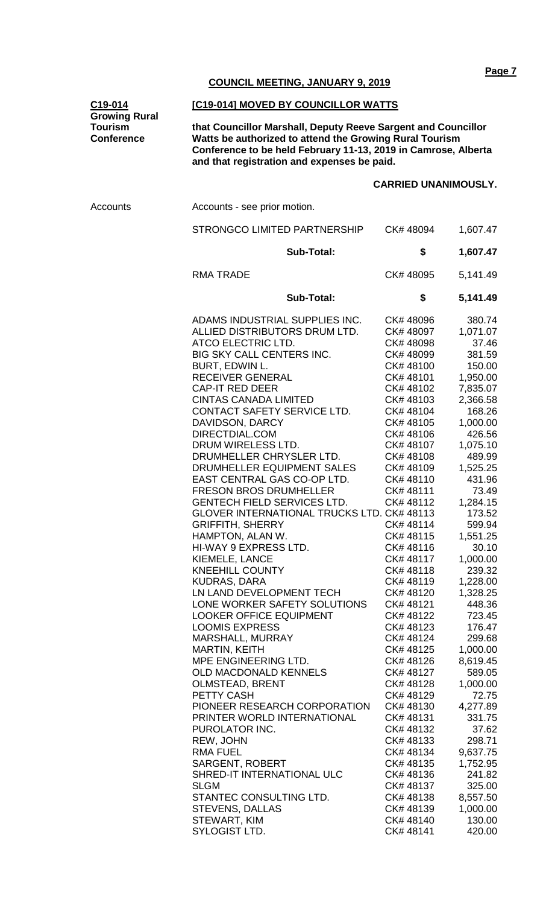#### **C19-014 Growing Rural Tourism Conference**

#### **[C19-014] MOVED BY COUNCILLOR WATTS**

**that Councillor Marshall, Deputy Reeve Sargent and Councillor Watts be authorized to attend the Growing Rural Tourism Conference to be held February 11-13, 2019 in Camrose, Alberta and that registration and expenses be paid.** 

## **CARRIED UNANIMOUSLY.**

| Accounts | Accounts - see prior motion.                                                                                                                                                                                                                                                                                                                                                                                                                                                                                                                                                                                                                                                                                                                                                                                                                                                                                                                                                                                                                                                                                                                                                          |                                                                                                                                                                                                                                                                                                                                                                                                                                                                                                                                                      |                                                                                                                                                                                                                                                                                                                                                                                                                                                                                         |  |
|----------|---------------------------------------------------------------------------------------------------------------------------------------------------------------------------------------------------------------------------------------------------------------------------------------------------------------------------------------------------------------------------------------------------------------------------------------------------------------------------------------------------------------------------------------------------------------------------------------------------------------------------------------------------------------------------------------------------------------------------------------------------------------------------------------------------------------------------------------------------------------------------------------------------------------------------------------------------------------------------------------------------------------------------------------------------------------------------------------------------------------------------------------------------------------------------------------|------------------------------------------------------------------------------------------------------------------------------------------------------------------------------------------------------------------------------------------------------------------------------------------------------------------------------------------------------------------------------------------------------------------------------------------------------------------------------------------------------------------------------------------------------|-----------------------------------------------------------------------------------------------------------------------------------------------------------------------------------------------------------------------------------------------------------------------------------------------------------------------------------------------------------------------------------------------------------------------------------------------------------------------------------------|--|
|          | STRONGCO LIMITED PARTNERSHIP                                                                                                                                                                                                                                                                                                                                                                                                                                                                                                                                                                                                                                                                                                                                                                                                                                                                                                                                                                                                                                                                                                                                                          | CK# 48094                                                                                                                                                                                                                                                                                                                                                                                                                                                                                                                                            | 1,607.47                                                                                                                                                                                                                                                                                                                                                                                                                                                                                |  |
|          | <b>Sub-Total:</b>                                                                                                                                                                                                                                                                                                                                                                                                                                                                                                                                                                                                                                                                                                                                                                                                                                                                                                                                                                                                                                                                                                                                                                     | \$                                                                                                                                                                                                                                                                                                                                                                                                                                                                                                                                                   | 1,607.47                                                                                                                                                                                                                                                                                                                                                                                                                                                                                |  |
|          | <b>RMA TRADE</b>                                                                                                                                                                                                                                                                                                                                                                                                                                                                                                                                                                                                                                                                                                                                                                                                                                                                                                                                                                                                                                                                                                                                                                      | CK# 48095                                                                                                                                                                                                                                                                                                                                                                                                                                                                                                                                            | 5,141.49                                                                                                                                                                                                                                                                                                                                                                                                                                                                                |  |
|          | <b>Sub-Total:</b>                                                                                                                                                                                                                                                                                                                                                                                                                                                                                                                                                                                                                                                                                                                                                                                                                                                                                                                                                                                                                                                                                                                                                                     | \$                                                                                                                                                                                                                                                                                                                                                                                                                                                                                                                                                   | 5,141.49                                                                                                                                                                                                                                                                                                                                                                                                                                                                                |  |
|          | ADAMS INDUSTRIAL SUPPLIES INC.<br>ALLIED DISTRIBUTORS DRUM LTD.<br>ATCO ELECTRIC LTD.<br>BIG SKY CALL CENTERS INC.<br>BURT, EDWIN L.<br><b>RECEIVER GENERAL</b><br><b>CAP-IT RED DEER</b><br><b>CINTAS CANADA LIMITED</b><br>CONTACT SAFETY SERVICE LTD.<br>DAVIDSON, DARCY<br>DIRECTDIAL.COM<br>DRUM WIRELESS LTD.<br>DRUMHELLER CHRYSLER LTD.<br>DRUMHELLER EQUIPMENT SALES<br>EAST CENTRAL GAS CO-OP LTD.<br><b>FRESON BROS DRUMHELLER</b><br><b>GENTECH FIELD SERVICES LTD.</b><br>GLOVER INTERNATIONAL TRUCKS LTD. CK# 48113<br><b>GRIFFITH, SHERRY</b><br>HAMPTON, ALAN W.<br>HI-WAY 9 EXPRESS LTD.<br>KIEMELE, LANCE<br><b>KNEEHILL COUNTY</b><br><b>KUDRAS, DARA</b><br>LN LAND DEVELOPMENT TECH<br>LONE WORKER SAFETY SOLUTIONS<br><b>LOOKER OFFICE EQUIPMENT</b><br><b>LOOMIS EXPRESS</b><br>MARSHALL, MURRAY<br><b>MARTIN, KEITH</b><br>MPE ENGINEERING LTD.<br><b>OLD MACDONALD KENNELS</b><br><b>OLMSTEAD, BRENT</b><br>PETTY CASH<br>PIONEER RESEARCH CORPORATION<br>PRINTER WORLD INTERNATIONAL<br>PUROLATOR INC.<br>REW, JOHN<br><b>RMA FUEL</b><br>SARGENT, ROBERT<br>SHRED-IT INTERNATIONAL ULC<br><b>SLGM</b><br>STANTEC CONSULTING LTD.<br><b>STEVENS, DALLAS</b> | CK# 48096<br>CK# 48097<br>CK# 48098<br>CK# 48099<br>CK#48100<br>CK#48101<br>CK# 48102<br>CK#48103<br>CK#48104<br>CK#48105<br>CK#48106<br>CK# 48107<br>CK#48108<br>CK#48109<br>CK#48110<br>CK#48111<br>CK#48112<br>CK#48114<br>CK#48115<br>CK#48116<br>CK# 48117<br>CK#48118<br>CK#48119<br>CK#48120<br>CK# 48121<br>CK# 48122<br>CK# 48123<br>CK# 48124<br>CK# 48125<br>CK# 48126<br>CK# 48127<br>CK# 48128<br>CK# 48129<br>CK#48130<br>CK#48131<br>CK#48132<br>CK#48133<br>CK# 48134<br>CK#48135<br>CK# 48136<br>CK# 48137<br>CK# 48138<br>CK#48139 | 380.74<br>1,071.07<br>37.46<br>381.59<br>150.00<br>1,950.00<br>7,835.07<br>2,366.58<br>168.26<br>1,000.00<br>426.56<br>1,075.10<br>489.99<br>1,525.25<br>431.96<br>73.49<br>1,284.15<br>173.52<br>599.94<br>1,551.25<br>30.10<br>1,000.00<br>239.32<br>1,228.00<br>1,328.25<br>448.36<br>723.45<br>176.47<br>299.68<br>1,000.00<br>8,619.45<br>589.05<br>1,000.00<br>72.75<br>4,277.89<br>331.75<br>37.62<br>298.71<br>9,637.75<br>1,752.95<br>241.82<br>325.00<br>8,557.50<br>1,000.00 |  |
|          | STEWART, KIM<br>SYLOGIST LTD.                                                                                                                                                                                                                                                                                                                                                                                                                                                                                                                                                                                                                                                                                                                                                                                                                                                                                                                                                                                                                                                                                                                                                         | CK# 48140<br>CK# 48141                                                                                                                                                                                                                                                                                                                                                                                                                                                                                                                               | 130.00<br>420.00                                                                                                                                                                                                                                                                                                                                                                                                                                                                        |  |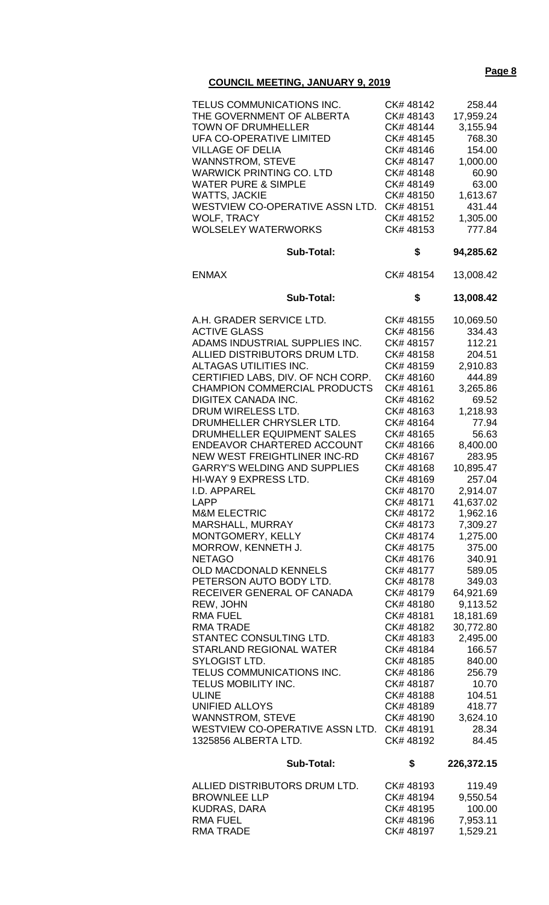## **Page 8**

## **COUNCIL MEETING, JANUARY 9, 2019**

| TELUS COMMUNICATIONS INC.<br>THE GOVERNMENT OF ALBERTA<br><b>TOWN OF DRUMHELLER</b><br>UFA CO-OPERATIVE LIMITED<br><b>VILLAGE OF DELIA</b><br><b>WANNSTROM, STEVE</b><br><b>WARWICK PRINTING CO. LTD</b><br><b>WATER PURE &amp; SIMPLE</b><br><b>WATTS, JACKIE</b><br>WESTVIEW CO-OPERATIVE ASSN LTD.<br><b>WOLF, TRACY</b><br><b>WOLSELEY WATERWORKS</b><br><b>Sub-Total:</b> | CK# 48142<br>CK#48143<br>CK# 48144<br>CK# 48145<br>CK# 48146<br>CK# 48147<br>CK#48148<br>CK# 48149<br>CK# 48150<br>CK# 48151<br>CK# 48152<br>CK# 48153<br>\$ | 258.44<br>17,959.24<br>3,155.94<br>768.30<br>154.00<br>1,000.00<br>60.90<br>63.00<br>1,613.67<br>431.44<br>1,305.00<br>777.84<br>94,285.62 |
|--------------------------------------------------------------------------------------------------------------------------------------------------------------------------------------------------------------------------------------------------------------------------------------------------------------------------------------------------------------------------------|--------------------------------------------------------------------------------------------------------------------------------------------------------------|--------------------------------------------------------------------------------------------------------------------------------------------|
| <b>ENMAX</b>                                                                                                                                                                                                                                                                                                                                                                   | CK# 48154                                                                                                                                                    | 13,008.42                                                                                                                                  |
| <b>Sub-Total:</b>                                                                                                                                                                                                                                                                                                                                                              | \$                                                                                                                                                           | 13,008.42                                                                                                                                  |
| A.H. GRADER SERVICE LTD.<br><b>ACTIVE GLASS</b>                                                                                                                                                                                                                                                                                                                                | CK# 48155<br>CK#48156                                                                                                                                        | 10,069.50<br>334.43                                                                                                                        |
| ADAMS INDUSTRIAL SUPPLIES INC.                                                                                                                                                                                                                                                                                                                                                 | CK# 48157                                                                                                                                                    | 112.21                                                                                                                                     |
| ALLIED DISTRIBUTORS DRUM LTD.                                                                                                                                                                                                                                                                                                                                                  | CK# 48158                                                                                                                                                    | 204.51                                                                                                                                     |
| ALTAGAS UTILITIES INC.                                                                                                                                                                                                                                                                                                                                                         | CK# 48159                                                                                                                                                    | 2,910.83                                                                                                                                   |
| CERTIFIED LABS, DIV. OF NCH CORP.                                                                                                                                                                                                                                                                                                                                              | CK#48160                                                                                                                                                     | 444.89                                                                                                                                     |
| <b>CHAMPION COMMERCIAL PRODUCTS</b>                                                                                                                                                                                                                                                                                                                                            | CK# 48161                                                                                                                                                    | 3,265.86                                                                                                                                   |
| <b>DIGITEX CANADA INC.</b>                                                                                                                                                                                                                                                                                                                                                     | CK# 48162                                                                                                                                                    | 69.52                                                                                                                                      |
| DRUM WIRELESS LTD.                                                                                                                                                                                                                                                                                                                                                             | CK#48163                                                                                                                                                     | 1,218.93                                                                                                                                   |
| DRUMHELLER CHRYSLER LTD.                                                                                                                                                                                                                                                                                                                                                       | CK# 48164                                                                                                                                                    | 77.94                                                                                                                                      |
| DRUMHELLER EQUIPMENT SALES                                                                                                                                                                                                                                                                                                                                                     | CK# 48165                                                                                                                                                    | 56.63                                                                                                                                      |
| <b>ENDEAVOR CHARTERED ACCOUNT</b>                                                                                                                                                                                                                                                                                                                                              | CK#48166                                                                                                                                                     | 8,400.00                                                                                                                                   |
| <b>NEW WEST FREIGHTLINER INC-RD</b>                                                                                                                                                                                                                                                                                                                                            | CK#48167                                                                                                                                                     | 283.95                                                                                                                                     |
| <b>GARRY'S WELDING AND SUPPLIES</b>                                                                                                                                                                                                                                                                                                                                            | CK#48168                                                                                                                                                     | 10,895.47                                                                                                                                  |
| HI-WAY 9 EXPRESS LTD.                                                                                                                                                                                                                                                                                                                                                          | CK#48169                                                                                                                                                     | 257.04                                                                                                                                     |
| I.D. APPAREL                                                                                                                                                                                                                                                                                                                                                                   | CK#48170                                                                                                                                                     | 2,914.07                                                                                                                                   |
| LAPP                                                                                                                                                                                                                                                                                                                                                                           | CK# 48171                                                                                                                                                    | 41,637.02                                                                                                                                  |
| <b>M&amp;M ELECTRIC</b>                                                                                                                                                                                                                                                                                                                                                        | CK#48172                                                                                                                                                     | 1,962.16                                                                                                                                   |
| MARSHALL, MURRAY                                                                                                                                                                                                                                                                                                                                                               | CK# 48173                                                                                                                                                    | 7,309.27                                                                                                                                   |
| MONTGOMERY, KELLY                                                                                                                                                                                                                                                                                                                                                              | CK# 48174                                                                                                                                                    | 1,275.00                                                                                                                                   |
| MORROW, KENNETH J.                                                                                                                                                                                                                                                                                                                                                             | CK#48175                                                                                                                                                     | 375.00                                                                                                                                     |
| <b>NETAGO</b>                                                                                                                                                                                                                                                                                                                                                                  | CK#48176                                                                                                                                                     | 340.91                                                                                                                                     |
| <b>OLD MACDONALD KENNELS</b>                                                                                                                                                                                                                                                                                                                                                   | CK#48177                                                                                                                                                     | 589.05                                                                                                                                     |
| PETERSON AUTO BODY LTD.                                                                                                                                                                                                                                                                                                                                                        | CK#48178                                                                                                                                                     | 349.03                                                                                                                                     |
| RECEIVER GENERAL OF CANADA                                                                                                                                                                                                                                                                                                                                                     | CK#48179                                                                                                                                                     | 64,921.69                                                                                                                                  |
| REW, JOHN                                                                                                                                                                                                                                                                                                                                                                      | CK#48180                                                                                                                                                     | 9,113.52                                                                                                                                   |
| <b>RMA FUEL</b>                                                                                                                                                                                                                                                                                                                                                                | CK#48181                                                                                                                                                     | 18,181.69                                                                                                                                  |
| <b>RMA TRADE</b>                                                                                                                                                                                                                                                                                                                                                               | CK# 48182                                                                                                                                                    | 30,772.80                                                                                                                                  |
| STANTEC CONSULTING LTD.                                                                                                                                                                                                                                                                                                                                                        | CK#48183                                                                                                                                                     | 2,495.00                                                                                                                                   |
| STARLAND REGIONAL WATER                                                                                                                                                                                                                                                                                                                                                        | CK# 48184                                                                                                                                                    | 166.57                                                                                                                                     |
| SYLOGIST LTD.                                                                                                                                                                                                                                                                                                                                                                  | CK#48185                                                                                                                                                     | 840.00                                                                                                                                     |
| TELUS COMMUNICATIONS INC.                                                                                                                                                                                                                                                                                                                                                      | CK#48186                                                                                                                                                     | 256.79                                                                                                                                     |
| TELUS MOBILITY INC.                                                                                                                                                                                                                                                                                                                                                            | CK# 48187                                                                                                                                                    | 10.70                                                                                                                                      |
| <b>ULINE</b><br><b>UNIFIED ALLOYS</b>                                                                                                                                                                                                                                                                                                                                          | CK# 48188                                                                                                                                                    | 104.51                                                                                                                                     |
| <b>WANNSTROM, STEVE</b>                                                                                                                                                                                                                                                                                                                                                        | CK# 48189<br>CK#48190                                                                                                                                        | 418.77                                                                                                                                     |
| WESTVIEW CO-OPERATIVE ASSN LTD.                                                                                                                                                                                                                                                                                                                                                | CK#48191                                                                                                                                                     | 3,624.10<br>28.34                                                                                                                          |
| 1325856 ALBERTA LTD.                                                                                                                                                                                                                                                                                                                                                           | CK# 48192                                                                                                                                                    | 84.45                                                                                                                                      |
| <b>Sub-Total:</b>                                                                                                                                                                                                                                                                                                                                                              | \$                                                                                                                                                           | 226,372.15                                                                                                                                 |
| ALLIED DISTRIBUTORS DRUM LTD.                                                                                                                                                                                                                                                                                                                                                  | CK#48193                                                                                                                                                     | 119.49                                                                                                                                     |
| <b>BROWNLEE LLP</b>                                                                                                                                                                                                                                                                                                                                                            | CK# 48194                                                                                                                                                    | 9,550.54                                                                                                                                   |
| <b>KUDRAS, DARA</b>                                                                                                                                                                                                                                                                                                                                                            |                                                                                                                                                              |                                                                                                                                            |
|                                                                                                                                                                                                                                                                                                                                                                                |                                                                                                                                                              |                                                                                                                                            |
|                                                                                                                                                                                                                                                                                                                                                                                | CK# 48195                                                                                                                                                    | 100.00                                                                                                                                     |
| <b>RMA FUEL</b><br><b>RMA TRADE</b>                                                                                                                                                                                                                                                                                                                                            | CK# 48196<br>CK# 48197                                                                                                                                       | 7,953.11<br>1,529.21                                                                                                                       |